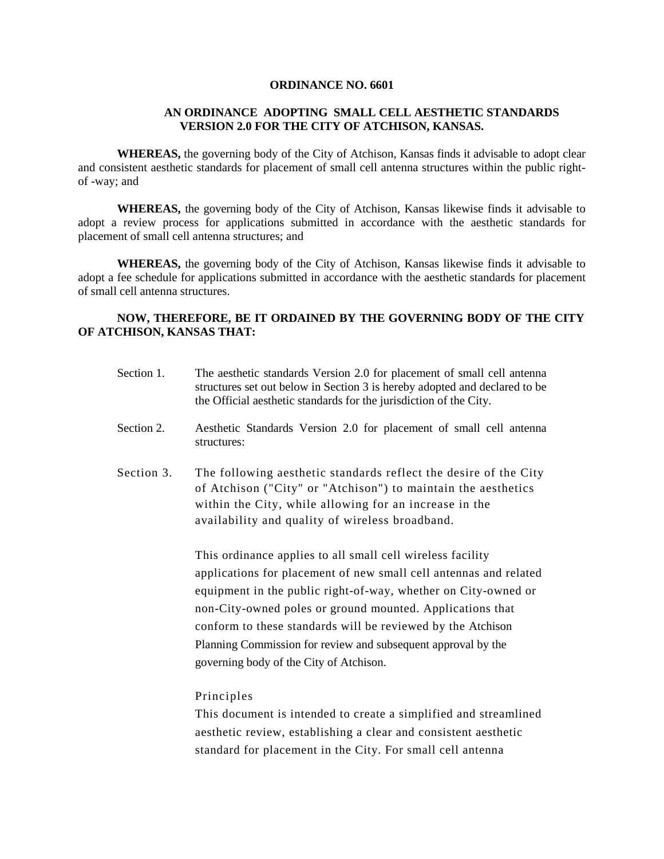#### **ORDINANCE NO. 6601**

## **AN ORDINANCE ADOPTING SMALL CELL AESTHETIC STANDARDS VERSION 2.0 FOR THE CITY OF ATCHISON, KANSAS.**

**WHEREAS,** the governing body of the City of Atchison, Kansas finds it advisable to adopt clear and consistent aesthetic standards for placement of small cell antenna structures within the public rightof -way; and

**WHEREAS,** the governing body of the City of Atchison, Kansas likewise finds it advisable to adopt a review process for applications submitted in accordance with the aesthetic standards for placement of small cell antenna structures; and

**WHEREAS,** the governing body of the City of Atchison, Kansas likewise finds it advisable to adopt a fee schedule for applications submitted in accordance with the aesthetic standards for placement of small cell antenna structures.

#### **NOW, THEREFORE, BE IT ORDAINED BY THE GOVERNING BODY OF THE CITY OF ATCHISON, KANSAS THAT:**

- Section 1. The aesthetic standards Version 2.0 for placement of small cell antenna structures set out below in Section 3 is hereby adopted and declared to be the Official aesthetic standards for the jurisdiction of the City.
- Section 2. Aesthetic Standards Version 2.0 for placement of small cell antenna structures:
- Section 3. The following aesthetic standards reflect the desire of the City of Atchison ("City" or "Atchison") to maintain the aesthetics within the City, while allowing for an increase in the availability and quality of wireless broadband.

This ordinance applies to all small cell wireless facility applications for placement of new small cell antennas and related equipment in the public right-of-way, whether on City-owned or non-City-owned poles or ground mounted. Applications that conform to these standards will be reviewed by the Atchison Planning Commission for review and subsequent approval by the governing body of the City of Atchison.

#### Principles

This document is intended to create a simplified and streamlined aesthetic review, establishing a clear and consistent aesthetic standard for placement in the City. For small cell antenna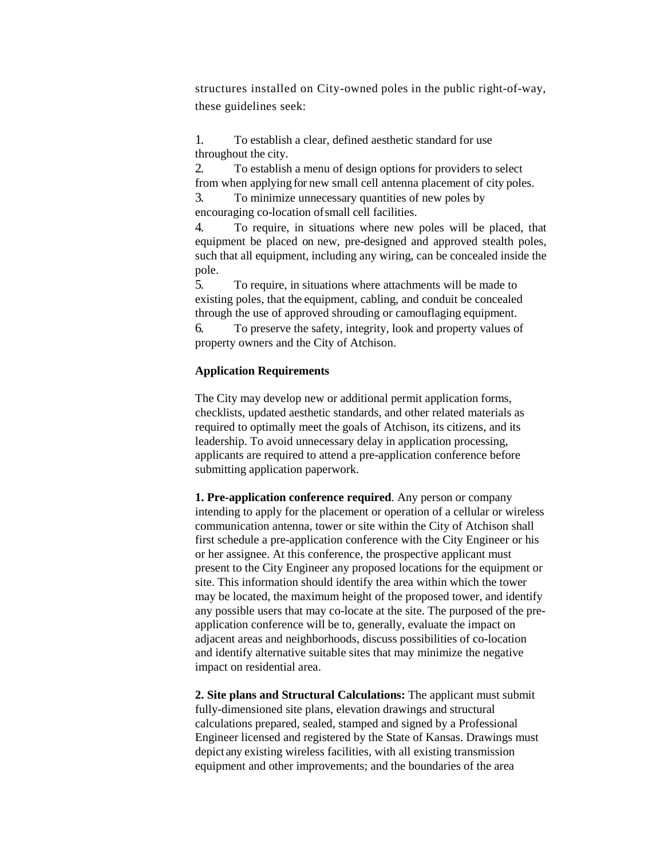structures installed on City-owned poles in the public right-of-way, these guidelines seek:

1. To establish a clear, defined aesthetic standard for use throughout the city.

2. To establish a menu of design options for providers to select from when applying for new small cell antenna placement of city poles.

3. To minimize unnecessary quantities of new poles by encouraging co-location ofsmall cell facilities.

4. To require, in situations where new poles will be placed, that equipment be placed on new, pre-designed and approved stealth poles, such that all equipment, including any wiring, can be concealed inside the pole.

5. To require, in situations where attachments will be made to existing poles, that the equipment, cabling, and conduit be concealed through the use of approved shrouding or camouflaging equipment.

6. To preserve the safety, integrity, look and property values of property owners and the City of Atchison.

## **Application Requirements**

The City may develop new or additional permit application forms, checklists, updated aesthetic standards, and other related materials as required to optimally meet the goals of Atchison, its citizens, and its leadership. To avoid unnecessary delay in application processing, applicants are required to attend a pre-application conference before submitting application paperwork.

**1. Pre-application conference required**. Any person or company intending to apply for the placement or operation of a cellular or wireless communication antenna, tower or site within the City of Atchison shall first schedule a pre-application conference with the City Engineer or his or her assignee. At this conference, the prospective applicant must present to the City Engineer any proposed locations for the equipment or site. This information should identify the area within which the tower may be located, the maximum height of the proposed tower, and identify any possible users that may co-locate at the site. The purposed of the preapplication conference will be to, generally, evaluate the impact on adjacent areas and neighborhoods, discuss possibilities of co-location and identify alternative suitable sites that may minimize the negative impact on residential area.

**2. Site plans and Structural Calculations:** The applicant must submit fully-dimensioned site plans, elevation drawings and structural calculations prepared, sealed, stamped and signed by a Professional Engineer licensed and registered by the State of Kansas. Drawings must depict any existing wireless facilities, with all existing transmission equipment and other improvements; and the boundaries of the area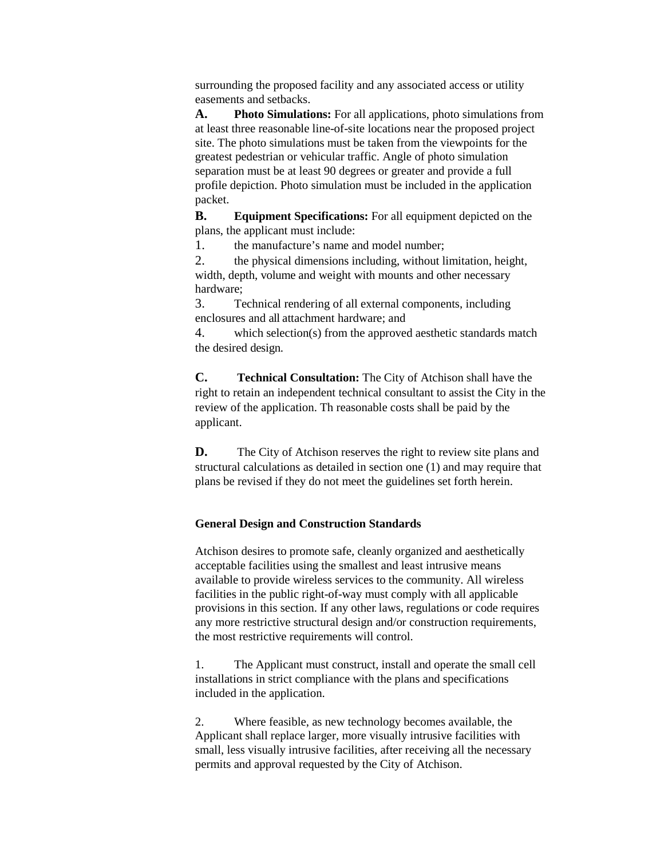surrounding the proposed facility and any associated access or utility easements and setbacks.

**A. Photo Simulations:** For all applications, photo simulations from at least three reasonable line-of-site locations near the proposed project site. The photo simulations must be taken from the viewpoints for the greatest pedestrian or vehicular traffic. Angle of photo simulation separation must be at least 90 degrees or greater and provide a full profile depiction. Photo simulation must be included in the application packet.

**B. Equipment Specifications:** For all equipment depicted on the plans, the applicant must include:

1. the manufacture's name and model number;

2. the physical dimensions including, without limitation, height, width, depth, volume and weight with mounts and other necessary hardware;

3. Technical rendering of all external components, including enclosures and all attachment hardware; and

4. which selection(s) from the approved aesthetic standards match the desired design.

**C. Technical Consultation:** The City of Atchison shall have the right to retain an independent technical consultant to assist the City in the review of the application. Th reasonable costs shall be paid by the applicant.

**D.** The City of Atchison reserves the right to review site plans and structural calculations as detailed in section one (1) and may require that plans be revised if they do not meet the guidelines set forth herein.

## **General Design and Construction Standards**

Atchison desires to promote safe, cleanly organized and aesthetically acceptable facilities using the smallest and least intrusive means available to provide wireless services to the community. All wireless facilities in the public right-of-way must comply with all applicable provisions in this section. If any other laws, regulations or code requires any more restrictive structural design and/or construction requirements, the most restrictive requirements will control.

1. The Applicant must construct, install and operate the small cell installations in strict compliance with the plans and specifications included in the application.

2. Where feasible, as new technology becomes available, the Applicant shall replace larger, more visually intrusive facilities with small, less visually intrusive facilities, after receiving all the necessary permits and approval requested by the City of Atchison.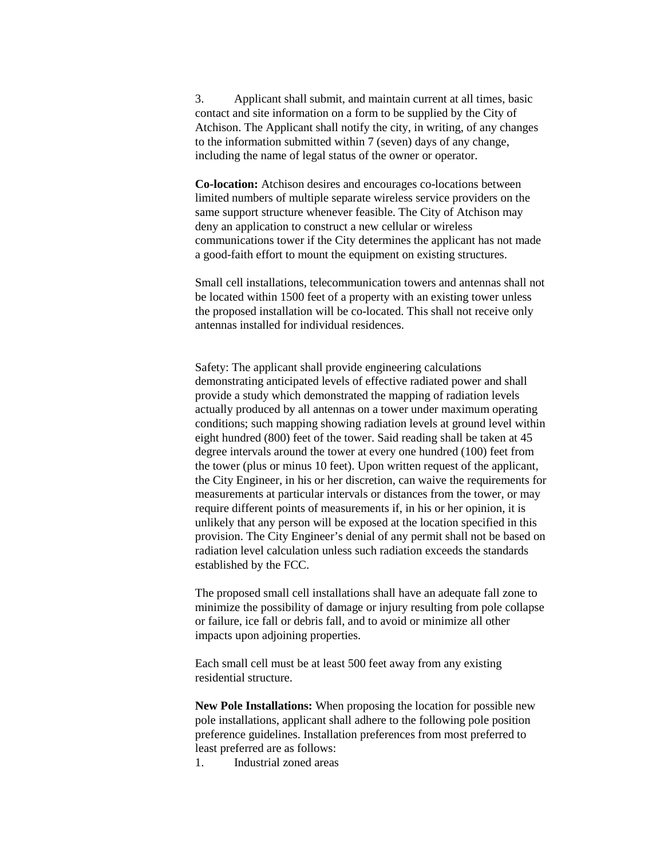3. Applicant shall submit, and maintain current at all times, basic contact and site information on a form to be supplied by the City of Atchison. The Applicant shall notify the city, in writing, of any changes to the information submitted within 7 (seven) days of any change, including the name of legal status of the owner or operator.

**Co-location:** Atchison desires and encourages co-locations between limited numbers of multiple separate wireless service providers on the same support structure whenever feasible. The City of Atchison may deny an application to construct a new cellular or wireless communications tower if the City determines the applicant has not made a good-faith effort to mount the equipment on existing structures.

Small cell installations, telecommunication towers and antennas shall not be located within 1500 feet of a property with an existing tower unless the proposed installation will be co-located. This shall not receive only antennas installed for individual residences.

Safety: The applicant shall provide engineering calculations demonstrating anticipated levels of effective radiated power and shall provide a study which demonstrated the mapping of radiation levels actually produced by all antennas on a tower under maximum operating conditions; such mapping showing radiation levels at ground level within eight hundred (800) feet of the tower. Said reading shall be taken at 45 degree intervals around the tower at every one hundred (100) feet from the tower (plus or minus 10 feet). Upon written request of the applicant, the City Engineer, in his or her discretion, can waive the requirements for measurements at particular intervals or distances from the tower, or may require different points of measurements if, in his or her opinion, it is unlikely that any person will be exposed at the location specified in this provision. The City Engineer's denial of any permit shall not be based on radiation level calculation unless such radiation exceeds the standards established by the FCC.

The proposed small cell installations shall have an adequate fall zone to minimize the possibility of damage or injury resulting from pole collapse or failure, ice fall or debris fall, and to avoid or minimize all other impacts upon adjoining properties.

Each small cell must be at least 500 feet away from any existing residential structure.

**New Pole Installations:** When proposing the location for possible new pole installations, applicant shall adhere to the following pole position preference guidelines. Installation preferences from most preferred to least preferred are as follows:

1. Industrial zoned areas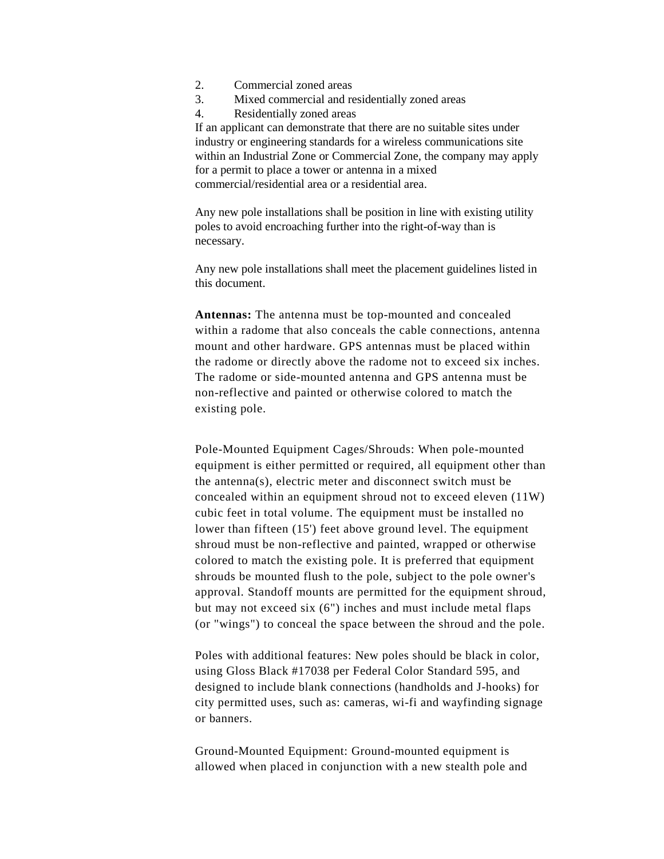- 2. Commercial zoned areas
- 3. Mixed commercial and residentially zoned areas
- 4. Residentially zoned areas

If an applicant can demonstrate that there are no suitable sites under industry or engineering standards for a wireless communications site within an Industrial Zone or Commercial Zone, the company may apply for a permit to place a tower or antenna in a mixed commercial/residential area or a residential area.

Any new pole installations shall be position in line with existing utility poles to avoid encroaching further into the right-of-way than is necessary.

Any new pole installations shall meet the placement guidelines listed in this document.

**Antennas:** The antenna must be top-mounted and concealed within a radome that also conceals the cable connections, antenna mount and other hardware. GPS antennas must be placed within the radome or directly above the radome not to exceed six inches. The radome or side-mounted antenna and GPS antenna must be non-reflective and painted or otherwise colored to match the existing pole.

Pole-Mounted Equipment Cages/Shrouds: When pole-mounted equipment is either permitted or required, all equipment other than the antenna(s), electric meter and disconnect switch must be concealed within an equipment shroud not to exceed eleven (11W) cubic feet in total volume. The equipment must be installed no lower than fifteen (15') feet above ground level. The equipment shroud must be non-reflective and painted, wrapped or otherwise colored to match the existing pole. It is preferred that equipment shrouds be mounted flush to the pole, subject to the pole owner's approval. Standoff mounts are permitted for the equipment shroud, but may not exceed six (6") inches and must include metal flaps (or "wings") to conceal the space between the shroud and the pole.

Poles with additional features: New poles should be black in color, using Gloss Black #17038 per Federal Color Standard 595, and designed to include blank connections (handholds and J-hooks) for city permitted uses, such as: cameras, wi-fi and wayfinding signage or banners.

Ground-Mounted Equipment: Ground-mounted equipment is allowed when placed in conjunction with a new stealth pole and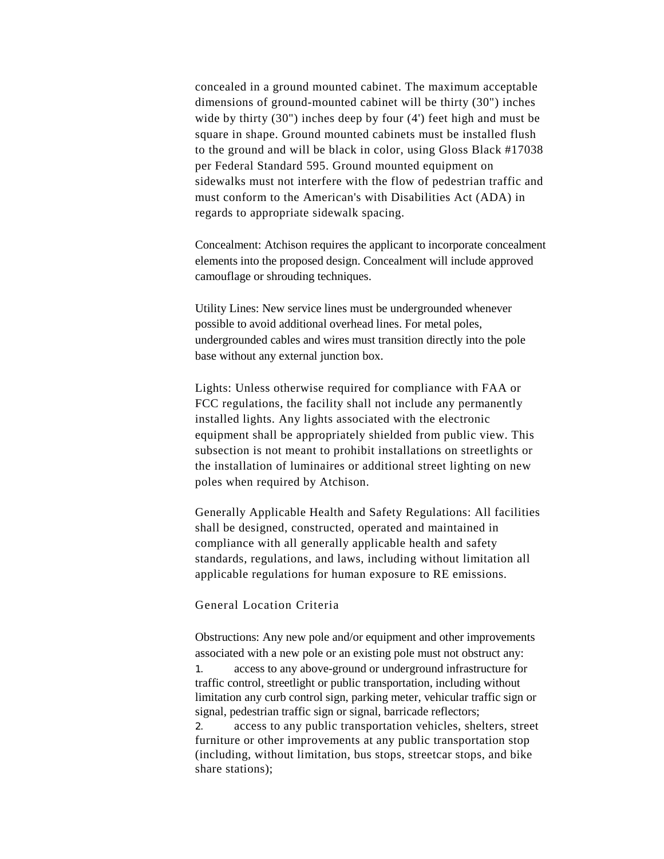concealed in a ground mounted cabinet. The maximum acceptable dimensions of ground-mounted cabinet will be thirty (30") inches wide by thirty (30") inches deep by four (4') feet high and must be square in shape. Ground mounted cabinets must be installed flush to the ground and will be black in color, using Gloss Black #17038 per Federal Standard 595. Ground mounted equipment on sidewalks must not interfere with the flow of pedestrian traffic and must conform to the American's with Disabilities Act (ADA) in regards to appropriate sidewalk spacing.

Concealment: Atchison requires the applicant to incorporate concealment elements into the proposed design. Concealment will include approved camouflage or shrouding techniques.

Utility Lines: New service lines must be undergrounded whenever possible to avoid additional overhead lines. For metal poles, undergrounded cables and wires must transition directly into the pole base without any external junction box.

Lights: Unless otherwise required for compliance with FAA or FCC regulations, the facility shall not include any permanently installed lights. Any lights associated with the electronic equipment shall be appropriately shielded from public view. This subsection is not meant to prohibit installations on streetlights or the installation of luminaires or additional street lighting on new poles when required by Atchison.

Generally Applicable Health and Safety Regulations: All facilities shall be designed, constructed, operated and maintained in compliance with all generally applicable health and safety standards, regulations, and laws, including without limitation all applicable regulations for human exposure to RE emissions.

#### General Location Criteria

Obstructions: Any new pole and/or equipment and other improvements associated with a new pole or an existing pole must not obstruct any: 1. access to any above-ground or underground infrastructure for traffic control, streetlight or public transportation, including without limitation any curb control sign, parking meter, vehicular traffic sign or signal, pedestrian traffic sign or signal, barricade reflectors; 2. access to any public transportation vehicles, shelters, street furniture or other improvements at any public transportation stop (including, without limitation, bus stops, streetcar stops, and bike share stations);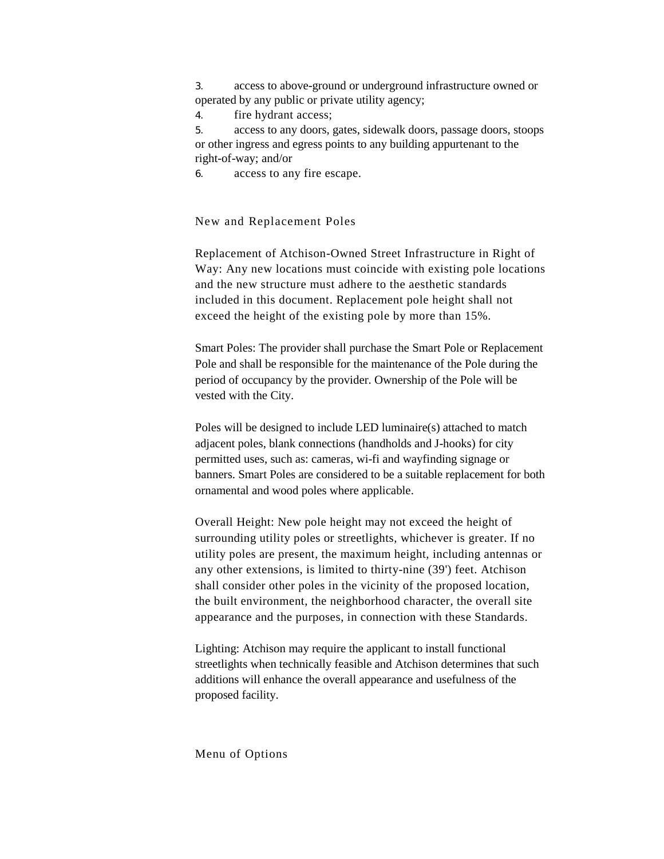3. access to above-ground or underground infrastructure owned or operated by any public or private utility agency;

4. fire hydrant access;

5. access to any doors, gates, sidewalk doors, passage doors, stoops or other ingress and egress points to any building appurtenant to the right-of-way; and/or

6. access to any fire escape.

New and Replacement Poles

Replacement of Atchison-Owned Street Infrastructure in Right of Way: Any new locations must coincide with existing pole locations and the new structure must adhere to the aesthetic standards included in this document. Replacement pole height shall not exceed the height of the existing pole by more than 15%.

Smart Poles: The provider shall purchase the Smart Pole or Replacement Pole and shall be responsible for the maintenance of the Pole during the period of occupancy by the provider. Ownership of the Pole will be vested with the City.

Poles will be designed to include LED luminaire(s) attached to match adjacent poles, blank connections (handholds and J-hooks) for city permitted uses, such as: cameras, wi-fi and wayfinding signage or banners. Smart Poles are considered to be a suitable replacement for both ornamental and wood poles where applicable.

Overall Height: New pole height may not exceed the height of surrounding utility poles or streetlights, whichever is greater. If no utility poles are present, the maximum height, including antennas or any other extensions, is limited to thirty-nine (39') feet. Atchison shall consider other poles in the vicinity of the proposed location, the built environment, the neighborhood character, the overall site appearance and the purposes, in connection with these Standards.

Lighting: Atchison may require the applicant to install functional streetlights when technically feasible and Atchison determines that such additions will enhance the overall appearance and usefulness of the proposed facility.

Menu of Options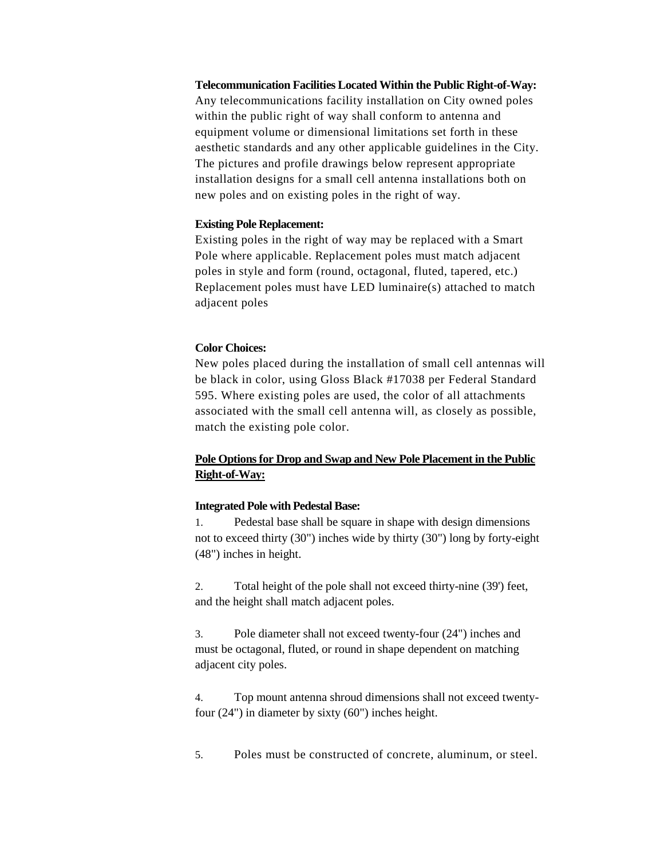**Telecommunication Facilities Located Within the Public Right-of-Way:** Any telecommunications facility installation on City owned poles within the public right of way shall conform to antenna and equipment volume or dimensional limitations set forth in these aesthetic standards and any other applicable guidelines in the City. The pictures and profile drawings below represent appropriate installation designs for a small cell antenna installations both on new poles and on existing poles in the right of way.

#### **Existing Pole Replacement:**

Existing poles in the right of way may be replaced with a Smart Pole where applicable. Replacement poles must match adjacent poles in style and form (round, octagonal, fluted, tapered, etc.) Replacement poles must have LED luminaire(s) attached to match adjacent poles

### **Color Choices:**

New poles placed during the installation of small cell antennas will be black in color, using Gloss Black #17038 per Federal Standard 595. Where existing poles are used, the color of all attachments associated with the small cell antenna will, as closely as possible, match the existing pole color.

# **Pole Options for Drop and Swap and New Pole Placement in the Public Right-of-Way:**

#### **Integrated Pole with Pedestal Base:**

1. Pedestal base shall be square in shape with design dimensions not to exceed thirty (30") inches wide by thirty (30") long by forty-eight (48") inches in height.

2. Total height of the pole shall not exceed thirty-nine (39') feet, and the height shall match adjacent poles.

3. Pole diameter shall not exceed twenty-four (24") inches and must be octagonal, fluted, or round in shape dependent on matching adjacent city poles.

4. Top mount antenna shroud dimensions shall not exceed twentyfour (24") in diameter by sixty (60") inches height.

5. Poles must be constructed of concrete, aluminum, or steel.